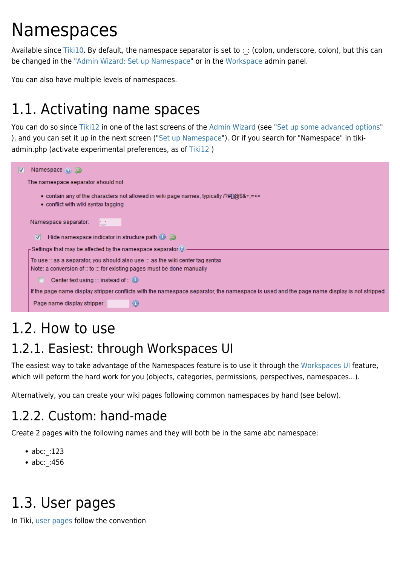# Namespaces

Available since [Tiki10](https://doc.tiki.org/Tiki10). By default, the namespace separator is set to : : (colon, underscore, colon), but this can be changed in the "[Admin Wizard: Set up Namespace](https://doc.tiki.org/Admin+Wizard?structure=HomePage+AdminGuide#Set_up_Namespace)" or in the [Workspace](https://doc.tiki.org/Workspace) admin panel.

You can also have multiple levels of namespaces.

## 1.1. Activating name spaces

You can do so since [Tiki12](https://doc.tiki.org/Tiki12) in one of the last screens of the [Admin Wizard](https://doc.tiki.org/Admin-Wizard) (see "[Set up some advanced options"](https://doc.tiki.org/Admin+Wizard?structure=HomePage+AdminGuide#Set_up_some_advanced_options) ), and you can set it up in the next screen ("[Set up Namespace"](https://doc.tiki.org/Admin+Wizard?structure=HomePage+AdminGuide#Set_up_Namespace)). Or if you search for "Namespace" in tikiadmin.php (activate experimental preferences, as of [Tiki12](https://doc.tiki.org/Tiki12) )

| Namespace (e) a                                                                                                                                              |
|--------------------------------------------------------------------------------------------------------------------------------------------------------------|
| The namespace separator should not                                                                                                                           |
| • contain any of the characters not allowed in wiki page names, typically $\frac{P}{P}$ (@\$&+;=<><br>$\bullet$ conflict with wiki syntax tagging            |
| Namespace separator:<br>tτ                                                                                                                                   |
| Hide namespace indicator in structure path $\textcircled{\tiny{3}}$<br>V                                                                                     |
| $_\sqsubset$ Settings that may be affected by the namespace separator $\Theta$ .                                                                             |
| To use :: as a separator, you should also use ::: as the wiki center tag syntax.<br>Note: a conversion of :: to ::: for existing pages must be done manually |
| Center text using ::: instead of :: $\bigcirc$                                                                                                               |
| If the page name display stripper conflicts with the namespace separator, the namespace is used and the page name display is not stripped.                   |
| Page name display stripper:<br>$\circ$                                                                                                                       |

# 1.2. How to use

#### 1.2.1. Easiest: through Workspaces UI

The easiest way to take advantage of the Namespaces feature is to use it through the [Workspaces UI](https://doc.tiki.org/Workspaces%20UI) feature, which will peform the hard work for you (objects, categories, permissions, perspectives, namespaces...).

Alternatively, you can create your wiki pages following common namespaces by hand (see below).

#### 1.2.2. Custom: hand-made

Create 2 pages with the following names and they will both be in the same abc namespace:

- abc: :123
- abc: :456

## 1.3. User pages

In Tiki, [user pages](https://doc.tiki.org/user%20pages) follow the convention